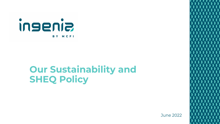

# **Our Sustainability and SHEQ Policy**

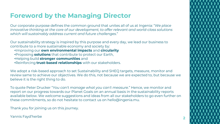# **Foreword by the Managing Director**

Our corporate purpose defines the common ground that unites all of us at Ingenia: "*We place innovative thinking at the core of our development, to offer relevant and world-class solutions which will sustainably address current and future challenges*."

Our sustainability strategy is inspired by this purpose and every day, we lead our business to contribute to a more sustainable economy and society by:

- •Improving our **own environmental impacts** and **circularity**
- •Proposing **solutions** that contribute to protect our Earth,
- •Helping build **stronger communities** and
- •Reinforcing **trust-based relationships** with our stakeholders.

We adopt a risk-based approach to set Sustainability and SHEQ targets, measure, monitor and review same to achieve our objectives. We do this, not because we are expected to, but because we believe it is the right thing to do.

To quote Peter Drucker "*You can't manage what you can't measure.*" Hence, we monitor and report on our progress towards our Planet Goals on an annual basis in the sustainability reports available below. We welcome suggestions and ideas from all our stakeholders to go even further on these commitments, so do not hesitate to contact us on hello@ingenia.mu.

Thank you for joining us on this journey.

Yannis Fayd'herbe **2**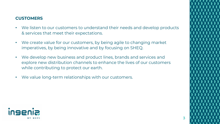#### **CUSTOMERS**

- We listen to our customers to understand their needs and develop products & services that meet their expectations.
- We create value for our customers, by being agile to changing market imperatives, by being innovative and by focusing on SHEQ.
- We develop new business and product lines, brands and services and explore new distribution channels to enhance the lives of our customers while contributing to protect our earth.
- We value long-term relationships with our customers.



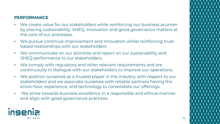#### **PERFORMANCE**

- We create value for our stakeholders while reinforcing our business acumen by placing sustainability, SHEQ, innovation and good governance matters at the core of our processes.
- We pursue continual improvement and innovation whilst reinforcing trustbased relationships with our stakeholders
- We communicate on our activities and report on our sustainability and SHEQ performance to our stakeholders.
- We comply with regulatory and other relevant requirements and are continuously in dialogue with our stakeholders to improve our operations.
- We position ourselves as a trusted player in the industry with respect to our stakeholders and we associate ourselves with reliable partners having the know-how, experience, and technology to consolidate our offerings.
- We strive towards business excellence in a responsible and ethical manner and align with good governance practices.



**4**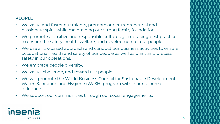## **PEOPLE**

- We value and foster our talents, promote our entrepreneurial and passionate spirit while maintaining our strong family foundation.
- We promote a positive and responsible culture by embracing best practices to ensure the safety, health, welfare, and development of our people.
- We use a risk-based approach and conduct our business activities to ensure occupational health and safety of our people as well as plant and process safety in our operations.
- We embrace people diversity.
- We value, challenge, and reward our people.
- We will promote the World Business Council for Sustainable Development Water, Sanitation and Hygiene (WaSH) program within our sphere of influence.
- We support our communities through our social engagements.



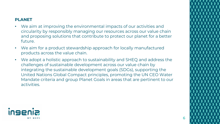#### **PLANET**

- We aim at improving the environmental impacts of our activities and circularity by responsibly managing our resources across our value chain and proposing solutions that contribute to protect our planet for a better future.
- We aim for a product stewardship approach for locally manufactured products across the value chain.
- We adopt a holistic approach to sustainability and SHEQ and address the challenges of sustainable development across our value chain by integrating the sustainable development goals (SDGs), supporting the United Nations Global Compact principles, promoting the UN CEO Water Mandate criteria and group Planet Goals in areas that are pertinent to our activities.





**6**